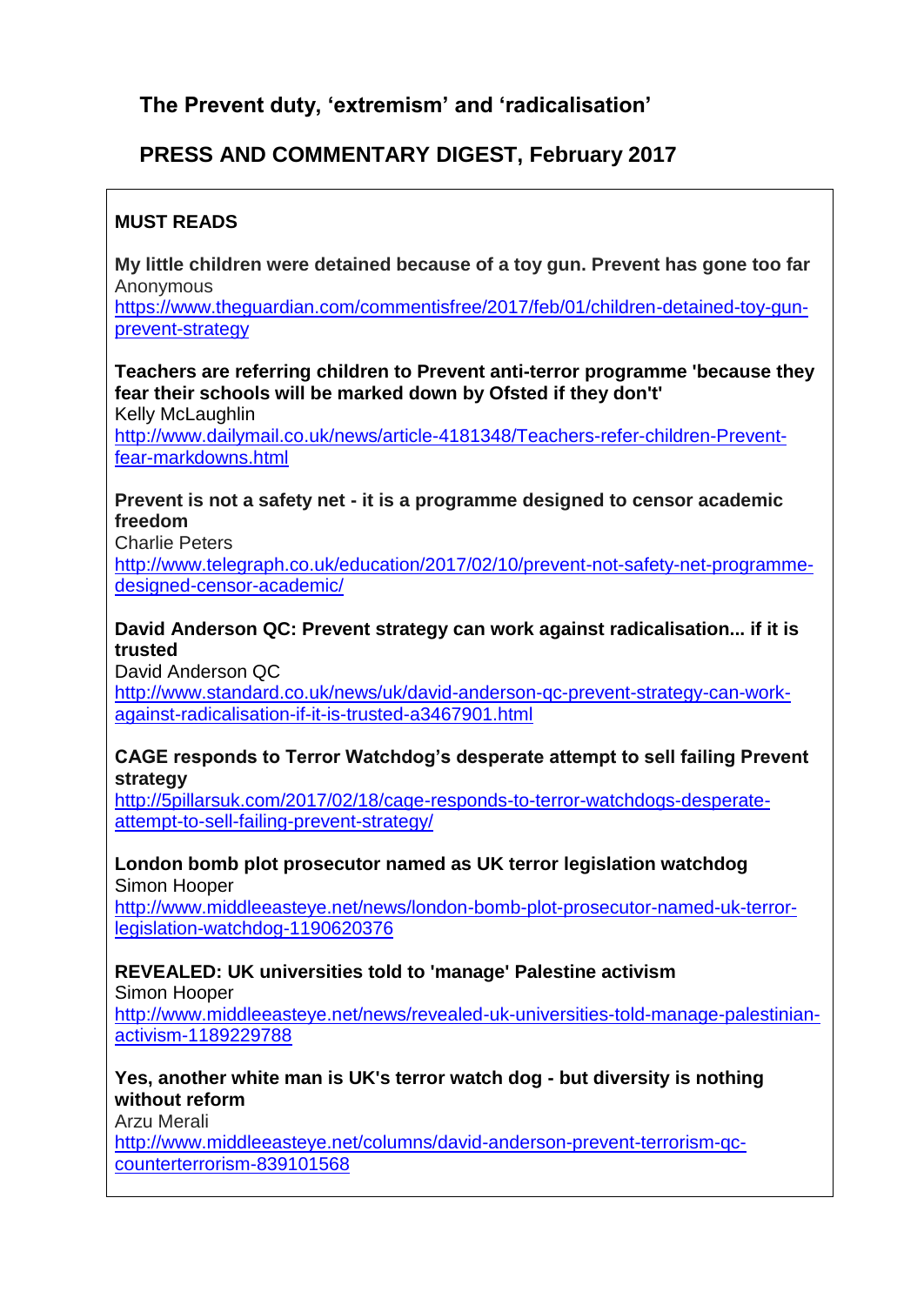**The Prevent duty, 'extremism' and 'radicalisation'**

# **PRESS AND COMMENTARY DIGEST, February 2017**

## **MUST READS**

**My little children were detained because of a toy gun. Prevent has gone too far** Anonymous

[https://www.theguardian.com/commentisfree/2017/feb/01/children-detained-toy-gun](https://www.theguardian.com/commentisfree/2017/feb/01/children-detained-toy-gun-prevent-strategy)[prevent-strategy](https://www.theguardian.com/commentisfree/2017/feb/01/children-detained-toy-gun-prevent-strategy)

**Teachers are referring children to Prevent anti-terror programme 'because they fear their schools will be marked down by Ofsted if they don't'**

Kelly McLaughlin

[http://www.dailymail.co.uk/news/article-4181348/Teachers-refer-children-Prevent](http://www.dailymail.co.uk/news/article-4181348/Teachers-refer-children-Prevent-fear-markdowns.html)[fear-markdowns.html](http://www.dailymail.co.uk/news/article-4181348/Teachers-refer-children-Prevent-fear-markdowns.html)

#### **Prevent is not a safety net - it is a programme designed to censor academic freedom**

Charlie Peters

[http://www.telegraph.co.uk/education/2017/02/10/prevent-not-safety-net-programme](http://www.telegraph.co.uk/education/2017/02/10/prevent-not-safety-net-programme-designed-censor-academic/)[designed-censor-academic/](http://www.telegraph.co.uk/education/2017/02/10/prevent-not-safety-net-programme-designed-censor-academic/)

## **David Anderson QC: Prevent strategy can work against radicalisation... if it is trusted**

David Anderson QC

[http://www.standard.co.uk/news/uk/david-anderson-qc-prevent-strategy-can-work](http://www.standard.co.uk/news/uk/david-anderson-qc-prevent-strategy-can-work-against-radicalisation-if-it-is-trusted-a3467901.html)[against-radicalisation-if-it-is-trusted-a3467901.html](http://www.standard.co.uk/news/uk/david-anderson-qc-prevent-strategy-can-work-against-radicalisation-if-it-is-trusted-a3467901.html)

#### **CAGE responds to Terror Watchdog's desperate attempt to sell failing Prevent strategy**

[http://5pillarsuk.com/2017/02/18/cage-responds-to-terror-watchdogs-desperate](http://5pillarsuk.com/2017/02/18/cage-responds-to-terror-watchdogs-desperate-attempt-to-sell-failing-prevent-strategy/)[attempt-to-sell-failing-prevent-strategy/](http://5pillarsuk.com/2017/02/18/cage-responds-to-terror-watchdogs-desperate-attempt-to-sell-failing-prevent-strategy/)

**London bomb plot prosecutor named as UK terror legislation watchdog** Simon Hooper

[http://www.middleeasteye.net/news/london-bomb-plot-prosecutor-named-uk-terror](http://www.middleeasteye.net/news/london-bomb-plot-prosecutor-named-uk-terror-legislation-watchdog-1190620376)[legislation-watchdog-1190620376](http://www.middleeasteye.net/news/london-bomb-plot-prosecutor-named-uk-terror-legislation-watchdog-1190620376)

# **REVEALED: UK universities told to 'manage' Palestine activism**

Simon Hooper

[http://www.middleeasteye.net/news/revealed-uk-universities-told-manage-palestinian](http://www.middleeasteye.net/news/revealed-uk-universities-told-manage-palestinian-activism-1189229788)[activism-1189229788](http://www.middleeasteye.net/news/revealed-uk-universities-told-manage-palestinian-activism-1189229788)

## **Yes, another white man is UK's terror watch dog - but diversity is nothing without reform**

Arzu Merali

[http://www.middleeasteye.net/columns/david-anderson-prevent-terrorism-qc](http://www.middleeasteye.net/columns/david-anderson-prevent-terrorism-qc-counterterrorism-839101568)[counterterrorism-839101568](http://www.middleeasteye.net/columns/david-anderson-prevent-terrorism-qc-counterterrorism-839101568)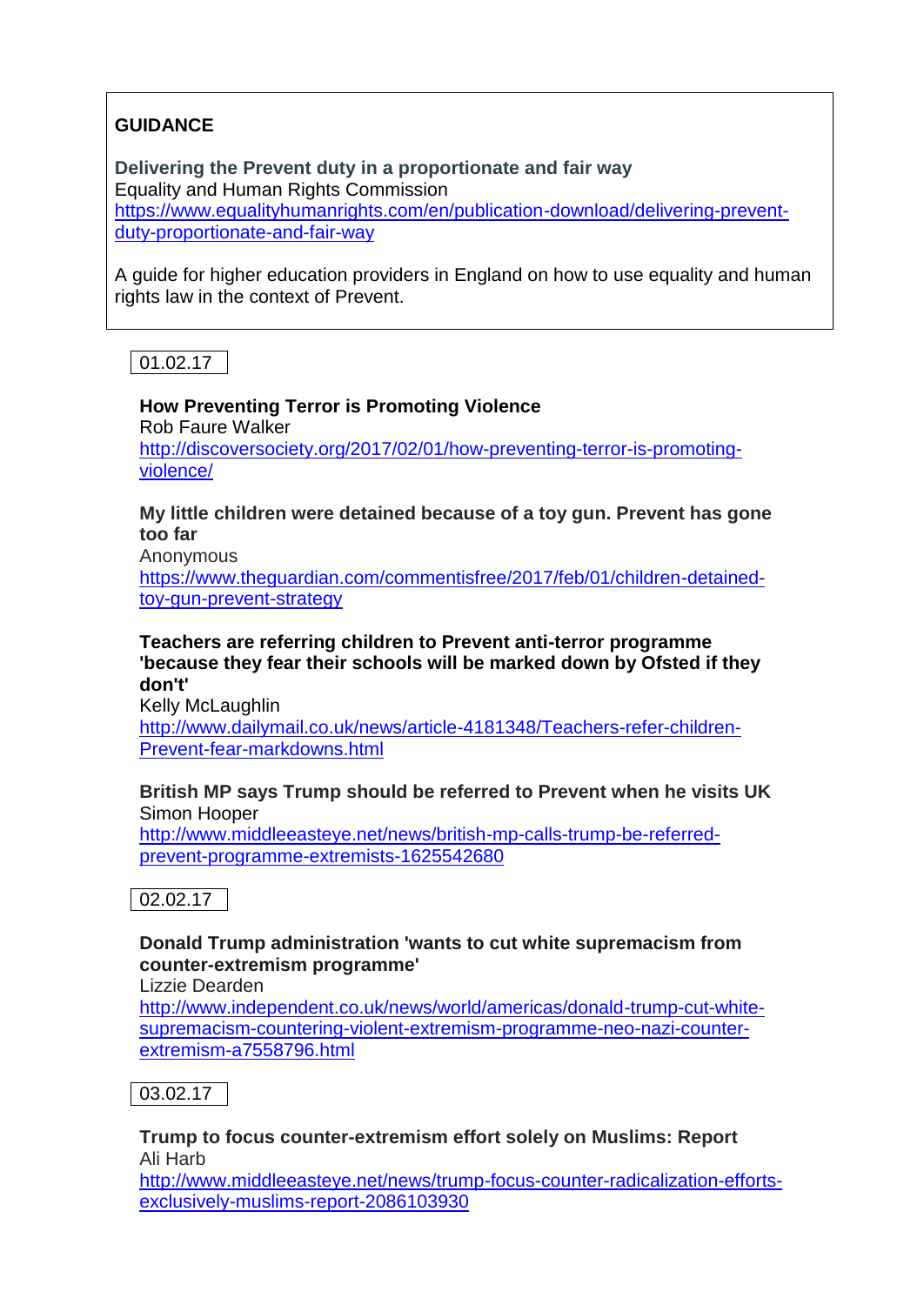## **GUIDANCE**

**Delivering the Prevent duty in a proportionate and fair way** Equality and Human Rights Commission [https://www.equalityhumanrights.com/en/publication-download/delivering-prevent](https://www.equalityhumanrights.com/en/publication-download/delivering-prevent-duty-proportionate-and-fair-way)[duty-proportionate-and-fair-way](https://www.equalityhumanrights.com/en/publication-download/delivering-prevent-duty-proportionate-and-fair-way)

A guide for higher education providers in England on how to use equality and human rights law in the context of Prevent.

01.02.17

**How Preventing Terror is Promoting Violence**  Rob Faure Walker [http://discoversociety.org/2017/02/01/how-preventing-terror-is-promoting](http://discoversociety.org/2017/02/01/how-preventing-terror-is-promoting-violence/)[violence/](http://discoversociety.org/2017/02/01/how-preventing-terror-is-promoting-violence/)

**My little children were detained because of a toy gun. Prevent has gone too far**

Anonymous

[https://www.theguardian.com/commentisfree/2017/feb/01/children-detained](https://www.theguardian.com/commentisfree/2017/feb/01/children-detained-toy-gun-prevent-strategy)[toy-gun-prevent-strategy](https://www.theguardian.com/commentisfree/2017/feb/01/children-detained-toy-gun-prevent-strategy)

**Teachers are referring children to Prevent anti-terror programme 'because they fear their schools will be marked down by Ofsted if they don't'**

Kelly McLaughlin [http://www.dailymail.co.uk/news/article-4181348/Teachers-refer-children-](http://www.dailymail.co.uk/news/article-4181348/Teachers-refer-children-Prevent-fear-markdowns.html)[Prevent-fear-markdowns.html](http://www.dailymail.co.uk/news/article-4181348/Teachers-refer-children-Prevent-fear-markdowns.html)

#### **British MP says Trump should be referred to Prevent when he visits UK** Simon Hooper

[http://www.middleeasteye.net/news/british-mp-calls-trump-be-referred](http://www.middleeasteye.net/news/british-mp-calls-trump-be-referred-prevent-programme-extremists-1625542680)[prevent-programme-extremists-1625542680](http://www.middleeasteye.net/news/british-mp-calls-trump-be-referred-prevent-programme-extremists-1625542680)



## **Donald Trump administration 'wants to cut white supremacism from counter-extremism programme'**

Lizzie Dearden

[http://www.independent.co.uk/news/world/americas/donald-trump-cut-white](http://www.independent.co.uk/news/world/americas/donald-trump-cut-white-supremacism-countering-violent-extremism-programme-neo-nazi-counter-extremism-a7558796.html)[supremacism-countering-violent-extremism-programme-neo-nazi-counter](http://www.independent.co.uk/news/world/americas/donald-trump-cut-white-supremacism-countering-violent-extremism-programme-neo-nazi-counter-extremism-a7558796.html)[extremism-a7558796.html](http://www.independent.co.uk/news/world/americas/donald-trump-cut-white-supremacism-countering-violent-extremism-programme-neo-nazi-counter-extremism-a7558796.html)



**Trump to focus counter-extremism effort solely on Muslims: Report** Ali Harb

[http://www.middleeasteye.net/news/trump-focus-counter-radicalization-efforts](http://www.middleeasteye.net/news/trump-focus-counter-radicalization-efforts-exclusively-muslims-report-2086103930)[exclusively-muslims-report-2086103930](http://www.middleeasteye.net/news/trump-focus-counter-radicalization-efforts-exclusively-muslims-report-2086103930)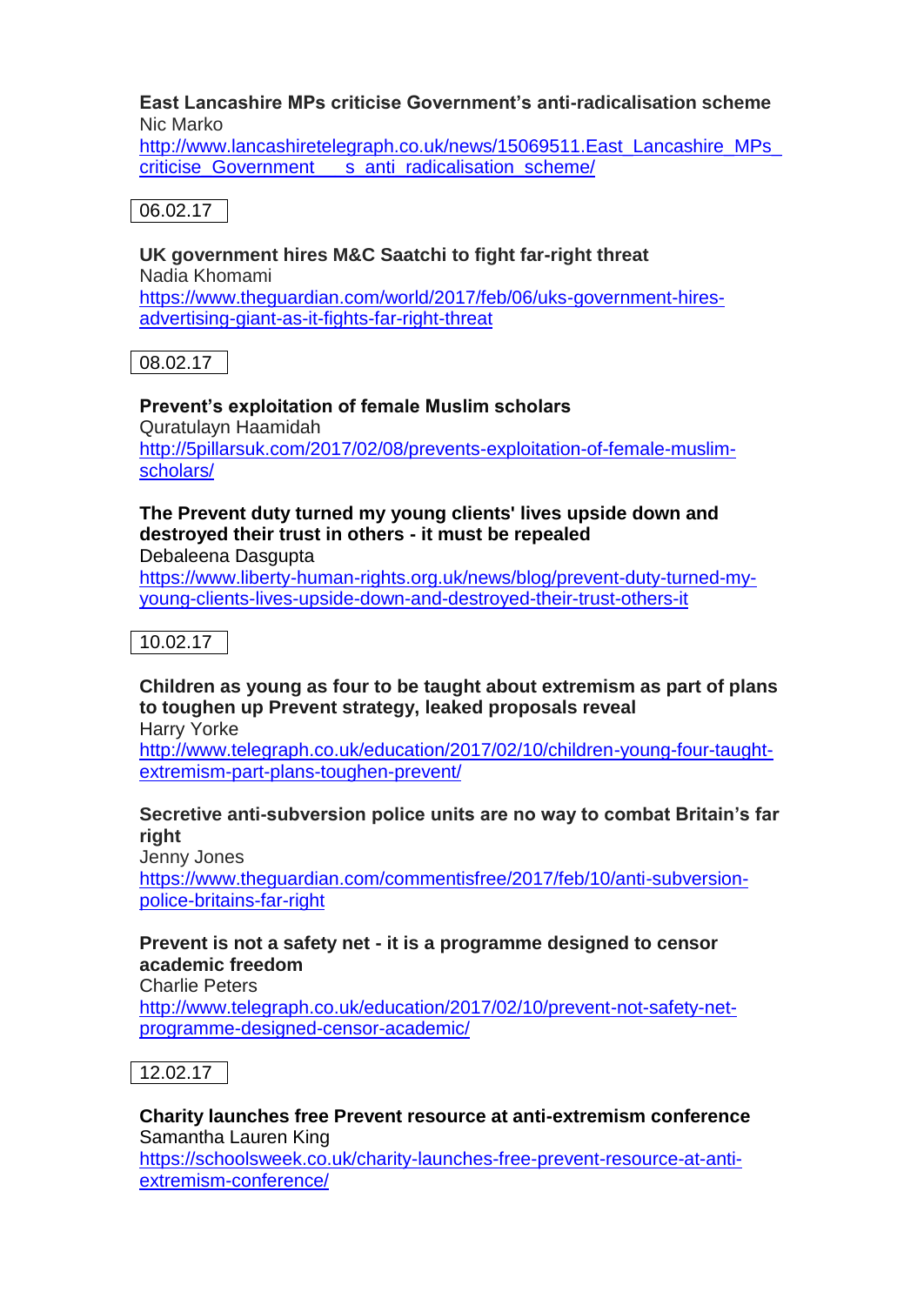#### **East Lancashire MPs criticise Government's anti-radicalisation scheme** Nic Marko

http://www.lancashiretelegraph.co.uk/news/15069511.East\_Lancashire\_MPs criticise Government s anti radicalisation scheme/

#### 06.02.17

**UK government hires M&C Saatchi to fight far-right threat** Nadia Khomami [https://www.theguardian.com/world/2017/feb/06/uks-government-hires](https://www.theguardian.com/world/2017/feb/06/uks-government-hires-advertising-giant-as-it-fights-far-right-threat)[advertising-giant-as-it-fights-far-right-threat](https://www.theguardian.com/world/2017/feb/06/uks-government-hires-advertising-giant-as-it-fights-far-right-threat)

08.02.17

#### **Prevent's exploitation of female Muslim scholars**

Quratulayn Haamidah [http://5pillarsuk.com/2017/02/08/prevents-exploitation-of-female-muslim](http://5pillarsuk.com/2017/02/08/prevents-exploitation-of-female-muslim-scholars/)[scholars/](http://5pillarsuk.com/2017/02/08/prevents-exploitation-of-female-muslim-scholars/)

## **The Prevent duty turned my young clients' lives upside down and destroyed their trust in others - it must be repealed**

Debaleena Dasgupta

[https://www.liberty-human-rights.org.uk/news/blog/prevent-duty-turned-my](https://www.liberty-human-rights.org.uk/news/blog/prevent-duty-turned-my-young-clients-lives-upside-down-and-destroyed-their-trust-others-it)[young-clients-lives-upside-down-and-destroyed-their-trust-others-it](https://www.liberty-human-rights.org.uk/news/blog/prevent-duty-turned-my-young-clients-lives-upside-down-and-destroyed-their-trust-others-it)

10.02.17

**Children as young as four to be taught about extremism as part of plans to toughen up Prevent strategy, leaked proposals reveal** Harry Yorke

[http://www.telegraph.co.uk/education/2017/02/10/children-young-four-taught](http://www.telegraph.co.uk/education/2017/02/10/children-young-four-taught-extremism-part-plans-toughen-prevent/)[extremism-part-plans-toughen-prevent/](http://www.telegraph.co.uk/education/2017/02/10/children-young-four-taught-extremism-part-plans-toughen-prevent/)

## **Secretive anti-subversion police units are no way to combat Britain's far right**

Jenny Jones

[https://www.theguardian.com/commentisfree/2017/feb/10/anti-subversion](https://www.theguardian.com/commentisfree/2017/feb/10/anti-subversion-police-britains-far-right)[police-britains-far-right](https://www.theguardian.com/commentisfree/2017/feb/10/anti-subversion-police-britains-far-right)

## **Prevent is not a safety net - it is a programme designed to censor academic freedom**

Charlie Peters

[http://www.telegraph.co.uk/education/2017/02/10/prevent-not-safety-net](http://www.telegraph.co.uk/education/2017/02/10/prevent-not-safety-net-programme-designed-censor-academic/)[programme-designed-censor-academic/](http://www.telegraph.co.uk/education/2017/02/10/prevent-not-safety-net-programme-designed-censor-academic/)



#### **Charity launches free Prevent resource at anti-extremism conference** Samantha Lauren King

[https://schoolsweek.co.uk/charity-launches-free-prevent-resource-at-anti](https://schoolsweek.co.uk/charity-launches-free-prevent-resource-at-anti-extremism-conference/)[extremism-conference/](https://schoolsweek.co.uk/charity-launches-free-prevent-resource-at-anti-extremism-conference/)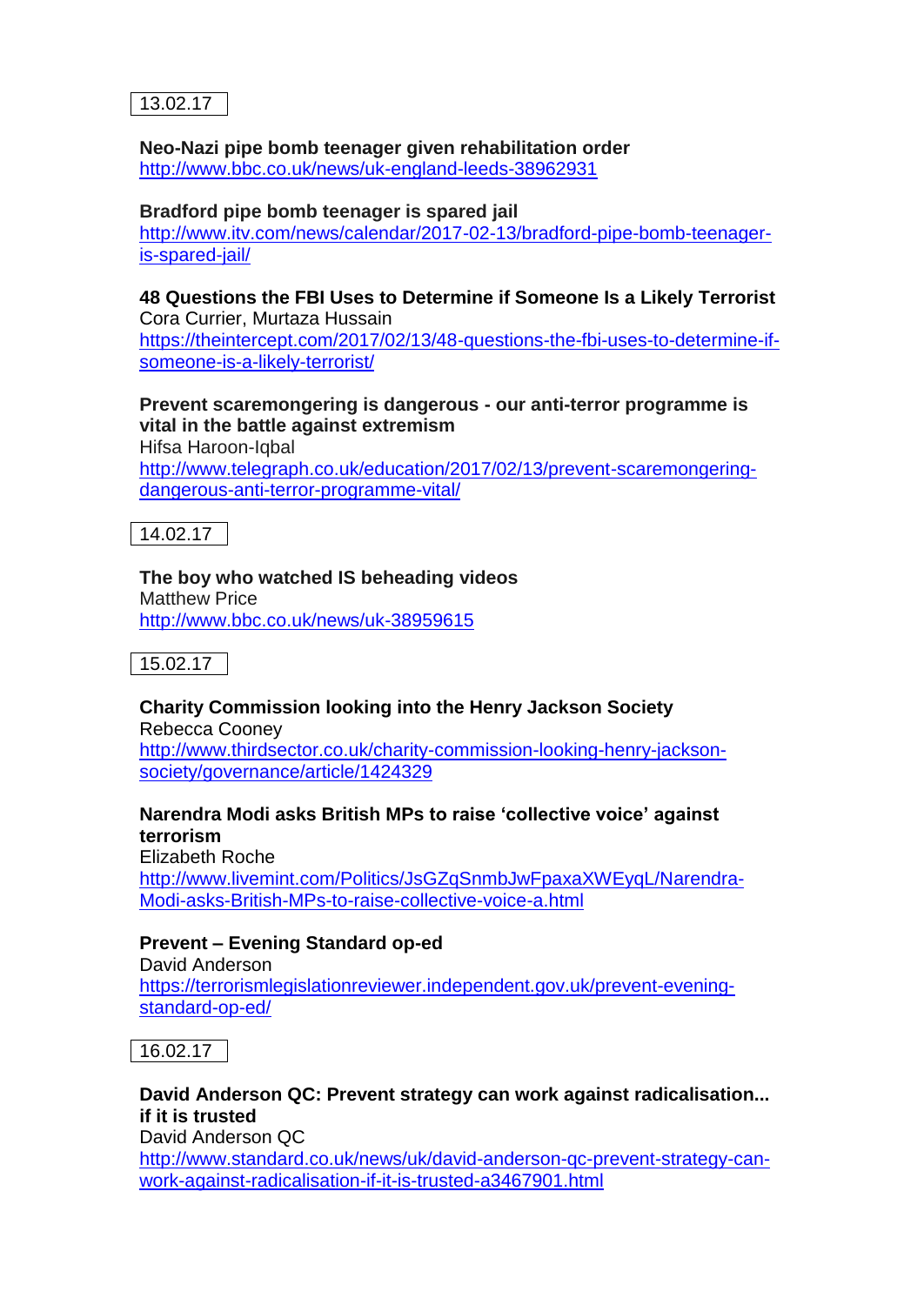

# **Neo-Nazi pipe bomb teenager given rehabilitation order**

<http://www.bbc.co.uk/news/uk-england-leeds-38962931>

#### **Bradford pipe bomb teenager is spared jail**

[http://www.itv.com/news/calendar/2017-02-13/bradford-pipe-bomb-teenager](http://www.itv.com/news/calendar/2017-02-13/bradford-pipe-bomb-teenager-is-spared-jail/)[is-spared-jail/](http://www.itv.com/news/calendar/2017-02-13/bradford-pipe-bomb-teenager-is-spared-jail/)

#### **48 Questions the FBI Uses to Determine if Someone Is a Likely Terrorist** Cora Currier, Murtaza Hussain

[https://theintercept.com/2017/02/13/48-questions-the-fbi-uses-to-determine-if](https://theintercept.com/2017/02/13/48-questions-the-fbi-uses-to-determine-if-someone-is-a-likely-terrorist/)[someone-is-a-likely-terrorist/](https://theintercept.com/2017/02/13/48-questions-the-fbi-uses-to-determine-if-someone-is-a-likely-terrorist/)

#### **Prevent scaremongering is dangerous - our anti-terror programme is vital in the battle against extremism**

Hifsa Haroon-Iqbal [http://www.telegraph.co.uk/education/2017/02/13/prevent-scaremongering](http://www.telegraph.co.uk/education/2017/02/13/prevent-scaremongering-dangerous-anti-terror-programme-vital/)[dangerous-anti-terror-programme-vital/](http://www.telegraph.co.uk/education/2017/02/13/prevent-scaremongering-dangerous-anti-terror-programme-vital/)

14.02.17

## **The boy who watched IS beheading videos**

Matthew Price <http://www.bbc.co.uk/news/uk-38959615>



#### **Charity Commission looking into the Henry Jackson Society** Rebecca Cooney

[http://www.thirdsector.co.uk/charity-commission-looking-henry-jackson](http://www.thirdsector.co.uk/charity-commission-looking-henry-jackson-society/governance/article/1424329)[society/governance/article/1424329](http://www.thirdsector.co.uk/charity-commission-looking-henry-jackson-society/governance/article/1424329)

## **Narendra Modi asks British MPs to raise 'collective voice' against terrorism**

Elizabeth Roche [http://www.livemint.com/Politics/JsGZqSnmbJwFpaxaXWEyqL/Narendra-](http://www.livemint.com/Politics/JsGZqSnmbJwFpaxaXWEyqL/Narendra-Modi-asks-British-MPs-to-raise-collective-voice-a.html)[Modi-asks-British-MPs-to-raise-collective-voice-a.html](http://www.livemint.com/Politics/JsGZqSnmbJwFpaxaXWEyqL/Narendra-Modi-asks-British-MPs-to-raise-collective-voice-a.html)

## **Prevent – Evening Standard op-ed**

David Anderson [https://terrorismlegislationreviewer.independent.gov.uk/prevent-evening](https://terrorismlegislationreviewer.independent.gov.uk/prevent-evening-standard-op-ed/)[standard-op-ed/](https://terrorismlegislationreviewer.independent.gov.uk/prevent-evening-standard-op-ed/)



#### **David Anderson QC: Prevent strategy can work against radicalisation... if it is trusted** David Anderson QC [http://www.standard.co.uk/news/uk/david-anderson-qc-prevent-strategy-can-](http://www.standard.co.uk/news/uk/david-anderson-qc-prevent-strategy-can-work-against-radicalisation-if-it-is-trusted-a3467901.html)

[work-against-radicalisation-if-it-is-trusted-a3467901.html](http://www.standard.co.uk/news/uk/david-anderson-qc-prevent-strategy-can-work-against-radicalisation-if-it-is-trusted-a3467901.html)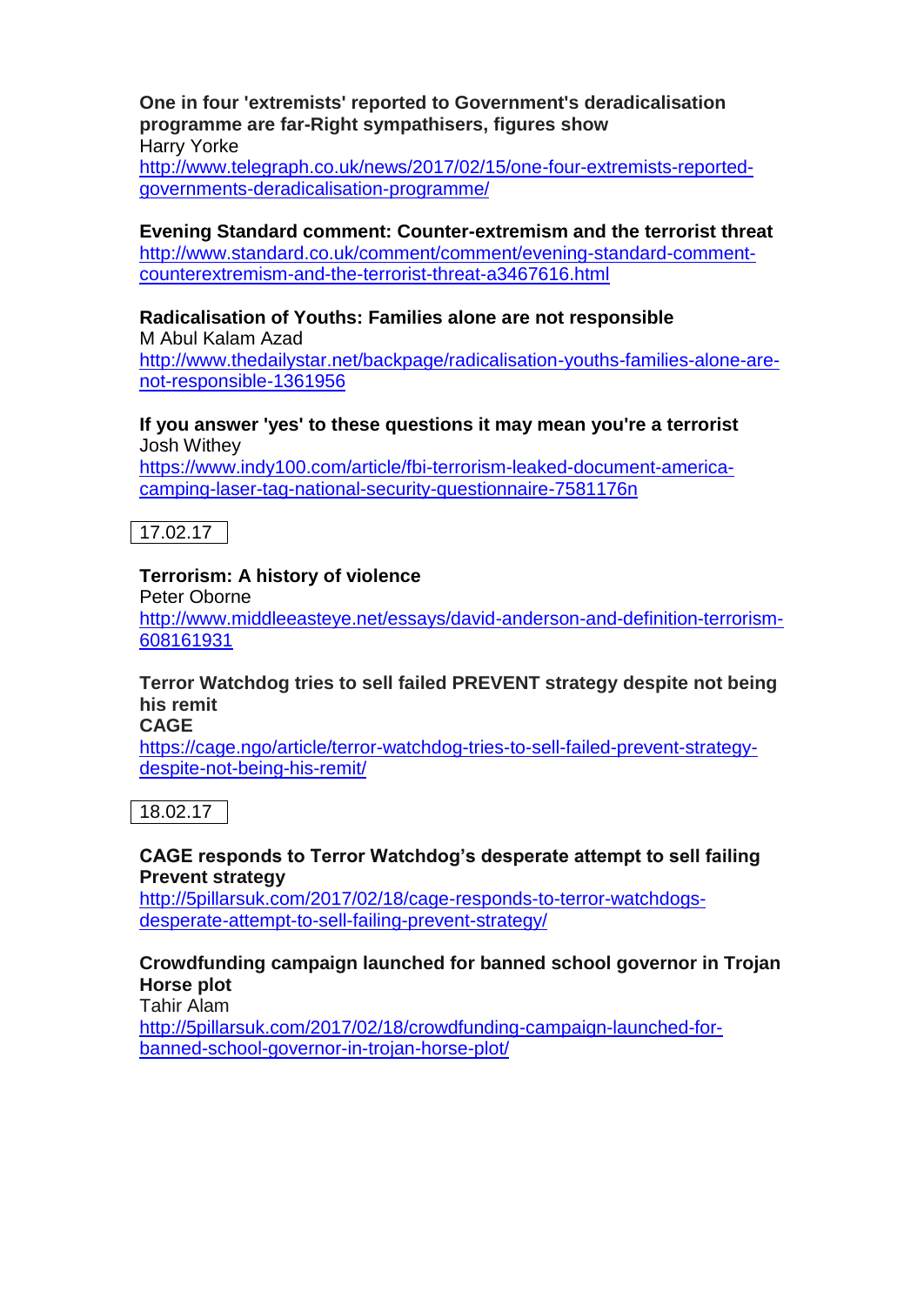**One in four 'extremists' reported to Government's deradicalisation programme are far-Right sympathisers, figures show** Harry Yorke [http://www.telegraph.co.uk/news/2017/02/15/one-four-extremists-reported](http://www.telegraph.co.uk/news/2017/02/15/one-four-extremists-reported-governments-deradicalisation-programme/)[governments-deradicalisation-programme/](http://www.telegraph.co.uk/news/2017/02/15/one-four-extremists-reported-governments-deradicalisation-programme/)

**Evening Standard comment: Counter-extremism and the terrorist threat** [http://www.standard.co.uk/comment/comment/evening-standard-comment](http://www.standard.co.uk/comment/comment/evening-standard-comment-counterextremism-and-the-terrorist-threat-a3467616.html)[counterextremism-and-the-terrorist-threat-a3467616.html](http://www.standard.co.uk/comment/comment/evening-standard-comment-counterextremism-and-the-terrorist-threat-a3467616.html)

#### **Radicalisation of Youths: Families alone are not responsible**

[M Abul Kalam Azad](http://www.thedailystar.net/author/m-abul-kalam-azad) [http://www.thedailystar.net/backpage/radicalisation-youths-families-alone-are](http://www.thedailystar.net/backpage/radicalisation-youths-families-alone-are-not-responsible-1361956)[not-responsible-1361956](http://www.thedailystar.net/backpage/radicalisation-youths-families-alone-are-not-responsible-1361956)

#### **If you answer 'yes' to these questions it may mean you're a terrorist** Josh Withey

[https://www.indy100.com/article/fbi-terrorism-leaked-document-america](https://www.indy100.com/article/fbi-terrorism-leaked-document-america-camping-laser-tag-national-security-questionnaire-7581176n)[camping-laser-tag-national-security-questionnaire-7581176n](https://www.indy100.com/article/fbi-terrorism-leaked-document-america-camping-laser-tag-national-security-questionnaire-7581176n)

17.02.17

#### **Terrorism: A history of violence**

Peter Oborne [http://www.middleeasteye.net/essays/david-anderson-and-definition-terrorism-](http://www.middleeasteye.net/essays/david-anderson-and-definition-terrorism-608161931)[608161931](http://www.middleeasteye.net/essays/david-anderson-and-definition-terrorism-608161931)

## **Terror Watchdog tries to sell failed PREVENT strategy despite not being his remit**

**CAGE**

[https://cage.ngo/article/terror-watchdog-tries-to-sell-failed-prevent-strategy](https://cage.ngo/article/terror-watchdog-tries-to-sell-failed-prevent-strategy-despite-not-being-his-remit/)[despite-not-being-his-remit/](https://cage.ngo/article/terror-watchdog-tries-to-sell-failed-prevent-strategy-despite-not-being-his-remit/)

18.02.17

#### **CAGE responds to Terror Watchdog's desperate attempt to sell failing Prevent strategy**

[http://5pillarsuk.com/2017/02/18/cage-responds-to-terror-watchdogs](http://5pillarsuk.com/2017/02/18/cage-responds-to-terror-watchdogs-desperate-attempt-to-sell-failing-prevent-strategy/)[desperate-attempt-to-sell-failing-prevent-strategy/](http://5pillarsuk.com/2017/02/18/cage-responds-to-terror-watchdogs-desperate-attempt-to-sell-failing-prevent-strategy/)

#### **Crowdfunding campaign launched for banned school governor in Trojan Horse plot**

Tahir Alam

[http://5pillarsuk.com/2017/02/18/crowdfunding-campaign-launched-for](http://5pillarsuk.com/2017/02/18/crowdfunding-campaign-launched-for-banned-school-governor-in-trojan-horse-plot/)[banned-school-governor-in-trojan-horse-plot/](http://5pillarsuk.com/2017/02/18/crowdfunding-campaign-launched-for-banned-school-governor-in-trojan-horse-plot/)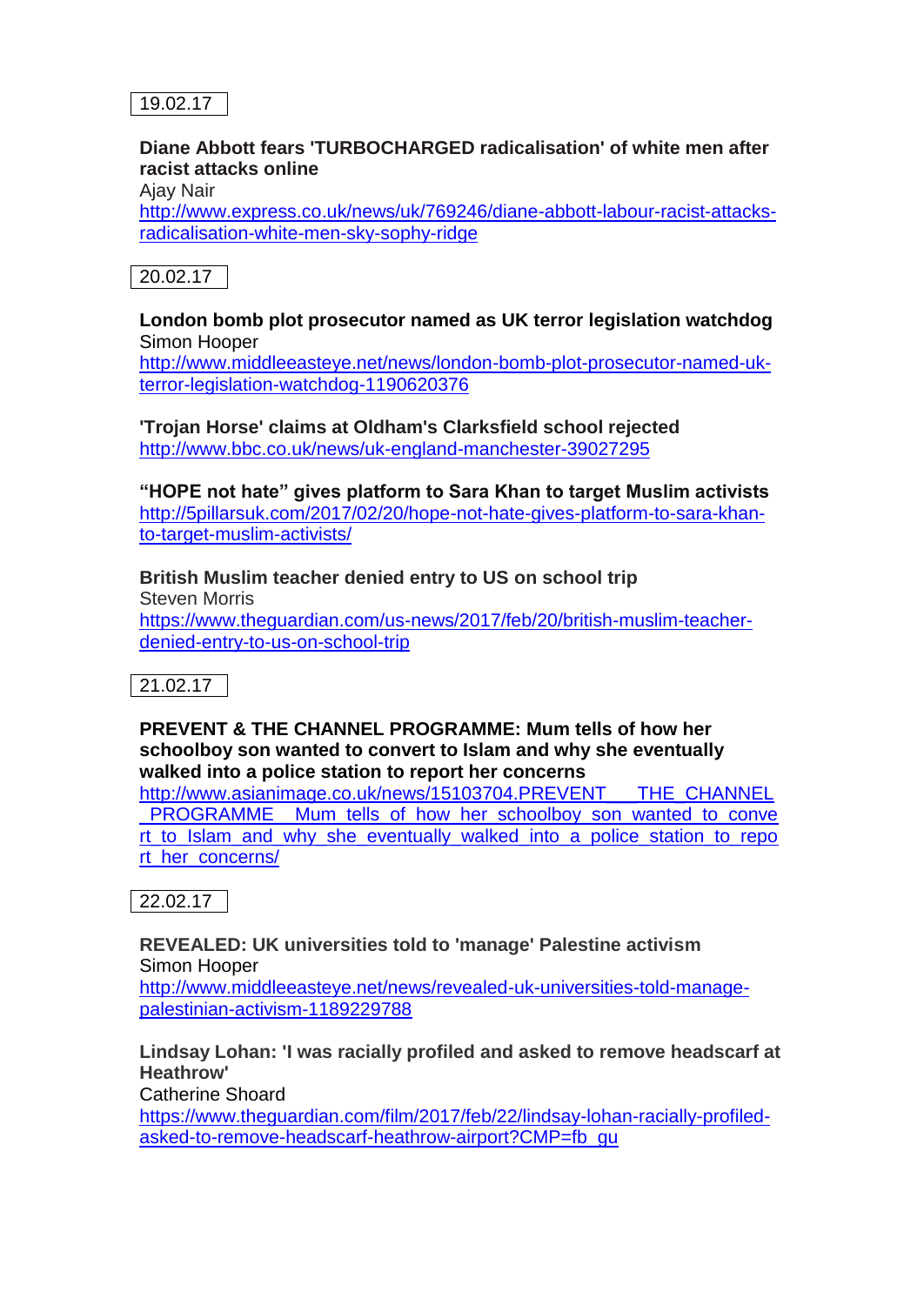

## **Diane Abbott fears 'TURBOCHARGED radicalisation' of white men after racist attacks online**

Ajay Nair

[http://www.express.co.uk/news/uk/769246/diane-abbott-labour-racist-attacks](http://www.express.co.uk/news/uk/769246/diane-abbott-labour-racist-attacks-radicalisation-white-men-sky-sophy-ridge)[radicalisation-white-men-sky-sophy-ridge](http://www.express.co.uk/news/uk/769246/diane-abbott-labour-racist-attacks-radicalisation-white-men-sky-sophy-ridge)

## 20.02.17

#### **London bomb plot prosecutor named as UK terror legislation watchdog** Simon Hooper

[http://www.middleeasteye.net/news/london-bomb-plot-prosecutor-named-uk](http://www.middleeasteye.net/news/london-bomb-plot-prosecutor-named-uk-terror-legislation-watchdog-1190620376)[terror-legislation-watchdog-1190620376](http://www.middleeasteye.net/news/london-bomb-plot-prosecutor-named-uk-terror-legislation-watchdog-1190620376)

**'Trojan Horse' claims at Oldham's Clarksfield school rejected** <http://www.bbc.co.uk/news/uk-england-manchester-39027295>

**"HOPE not hate" gives platform to Sara Khan to target Muslim activists** [http://5pillarsuk.com/2017/02/20/hope-not-hate-gives-platform-to-sara-khan](http://5pillarsuk.com/2017/02/20/hope-not-hate-gives-platform-to-sara-khan-to-target-muslim-activists/)[to-target-muslim-activists/](http://5pillarsuk.com/2017/02/20/hope-not-hate-gives-platform-to-sara-khan-to-target-muslim-activists/)

**British Muslim teacher denied entry to US on school trip** Steven Morris [https://www.theguardian.com/us-news/2017/feb/20/british-muslim-teacher](https://www.theguardian.com/us-news/2017/feb/20/british-muslim-teacher-denied-entry-to-us-on-school-trip)[denied-entry-to-us-on-school-trip](https://www.theguardian.com/us-news/2017/feb/20/british-muslim-teacher-denied-entry-to-us-on-school-trip)

 $21.02.17$ 

**PREVENT & THE CHANNEL PROGRAMME: Mum tells of how her schoolboy son wanted to convert to Islam and why she eventually walked into a police station to report her concerns**

[http://www.asianimage.co.uk/news/15103704.PREVENT\\_\\_\\_THE\\_CHANNEL](http://www.asianimage.co.uk/news/15103704.PREVENT___THE_CHANNEL_PROGRAMME__Mum_tells_of_how_her_schoolboy_son_wanted_to_convert_to_Islam_and_why_she_eventually_walked_into_a_police_station_to_report_her_concerns/) PROGRAMME \_ Mum\_tells\_of\_how\_her\_schoolboy\_son\_wanted\_to\_conve [rt\\_to\\_Islam\\_and\\_why\\_she\\_eventually\\_walked\\_into\\_a\\_police\\_station\\_to\\_repo](http://www.asianimage.co.uk/news/15103704.PREVENT___THE_CHANNEL_PROGRAMME__Mum_tells_of_how_her_schoolboy_son_wanted_to_convert_to_Islam_and_why_she_eventually_walked_into_a_police_station_to_report_her_concerns/) [rt\\_her\\_concerns/](http://www.asianimage.co.uk/news/15103704.PREVENT___THE_CHANNEL_PROGRAMME__Mum_tells_of_how_her_schoolboy_son_wanted_to_convert_to_Islam_and_why_she_eventually_walked_into_a_police_station_to_report_her_concerns/)

22.02.17

**REVEALED: UK universities told to 'manage' Palestine activism** Simon Hooper

[http://www.middleeasteye.net/news/revealed-uk-universities-told-manage](http://www.middleeasteye.net/news/revealed-uk-universities-told-manage-palestinian-activism-1189229788)[palestinian-activism-1189229788](http://www.middleeasteye.net/news/revealed-uk-universities-told-manage-palestinian-activism-1189229788)

**Lindsay Lohan: 'I was racially profiled and asked to remove headscarf at Heathrow'**

Catherine Shoard

[https://www.theguardian.com/film/2017/feb/22/lindsay-lohan-racially-profiled](https://www.theguardian.com/film/2017/feb/22/lindsay-lohan-racially-profiled-asked-to-remove-headscarf-heathrow-airport?CMP=fb_gu)[asked-to-remove-headscarf-heathrow-airport?CMP=fb\\_gu](https://www.theguardian.com/film/2017/feb/22/lindsay-lohan-racially-profiled-asked-to-remove-headscarf-heathrow-airport?CMP=fb_gu)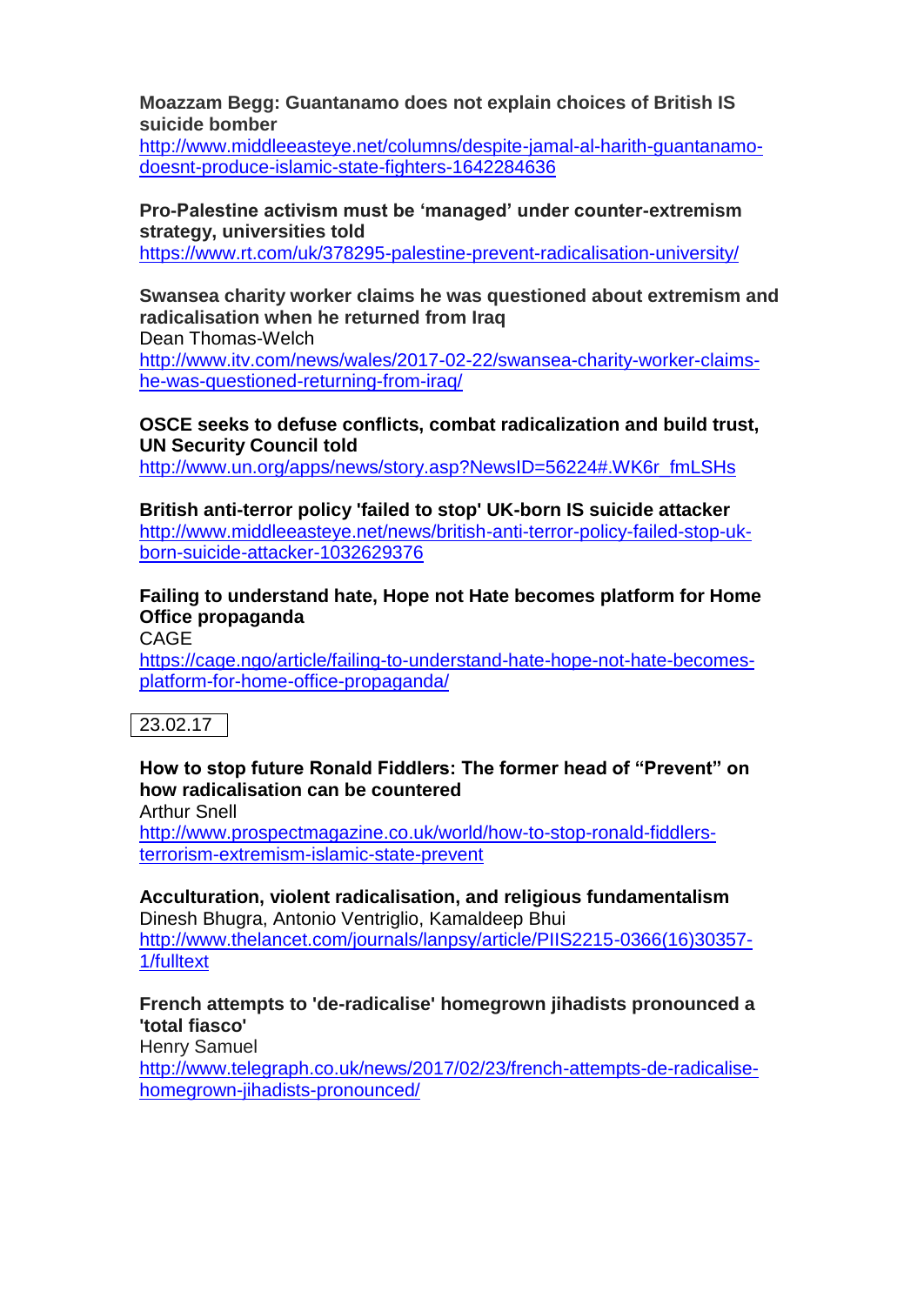**Moazzam Begg: Guantanamo does not explain choices of British IS suicide bomber**

[http://www.middleeasteye.net/columns/despite-jamal-al-harith-guantanamo](http://www.middleeasteye.net/columns/despite-jamal-al-harith-guantanamo-doesnt-produce-islamic-state-fighters-1642284636)[doesnt-produce-islamic-state-fighters-1642284636](http://www.middleeasteye.net/columns/despite-jamal-al-harith-guantanamo-doesnt-produce-islamic-state-fighters-1642284636)

**Pro-Palestine activism must be 'managed' under counter-extremism strategy, universities told**

<https://www.rt.com/uk/378295-palestine-prevent-radicalisation-university/>

**Swansea charity worker claims he was questioned about extremism and radicalisation when he returned from Iraq**

Dean Thomas-Welch [http://www.itv.com/news/wales/2017-02-22/swansea-charity-worker-claims](http://www.itv.com/news/wales/2017-02-22/swansea-charity-worker-claims-he-was-questioned-returning-from-iraq/)[he-was-questioned-returning-from-iraq/](http://www.itv.com/news/wales/2017-02-22/swansea-charity-worker-claims-he-was-questioned-returning-from-iraq/)

**OSCE seeks to defuse conflicts, combat radicalization and build trust, UN Security Council told**

[http://www.un.org/apps/news/story.asp?NewsID=56224#.WK6r\\_fmLSHs](http://www.un.org/apps/news/story.asp?NewsID=56224#.WK6r_fmLSHs)

**British anti-terror policy 'failed to stop' UK-born IS suicide attacker** [http://www.middleeasteye.net/news/british-anti-terror-policy-failed-stop-uk](http://www.middleeasteye.net/news/british-anti-terror-policy-failed-stop-uk-born-suicide-attacker-1032629376)[born-suicide-attacker-1032629376](http://www.middleeasteye.net/news/british-anti-terror-policy-failed-stop-uk-born-suicide-attacker-1032629376)

**Failing to understand hate, Hope not Hate becomes platform for Home Office propaganda**

CAGE

[https://cage.ngo/article/failing-to-understand-hate-hope-not-hate-becomes](https://cage.ngo/article/failing-to-understand-hate-hope-not-hate-becomes-platform-for-home-office-propaganda/)[platform-for-home-office-propaganda/](https://cage.ngo/article/failing-to-understand-hate-hope-not-hate-becomes-platform-for-home-office-propaganda/)

## 23.02.17

**How to stop future Ronald Fiddlers: The former head of "Prevent" on how radicalisation can be countered**

Arthur Snell

[http://www.prospectmagazine.co.uk/world/how-to-stop-ronald-fiddlers](http://www.prospectmagazine.co.uk/world/how-to-stop-ronald-fiddlers-terrorism-extremism-islamic-state-prevent)[terrorism-extremism-islamic-state-prevent](http://www.prospectmagazine.co.uk/world/how-to-stop-ronald-fiddlers-terrorism-extremism-islamic-state-prevent)

**Acculturation, violent radicalisation, and religious fundamentalism** Dinesh Bhugra, Antonio Ventriglio, Kamaldeep Bhui [http://www.thelancet.com/journals/lanpsy/article/PIIS2215-0366\(16\)30357-](http://www.thelancet.com/journals/lanpsy/article/PIIS2215-0366(16)30357-1/fulltext) [1/fulltext](http://www.thelancet.com/journals/lanpsy/article/PIIS2215-0366(16)30357-1/fulltext)

**French attempts to 'de-radicalise' homegrown jihadists pronounced a 'total fiasco'**

Henry Samuel

[http://www.telegraph.co.uk/news/2017/02/23/french-attempts-de-radicalise](http://www.telegraph.co.uk/news/2017/02/23/french-attempts-de-radicalise-homegrown-jihadists-pronounced/)[homegrown-jihadists-pronounced/](http://www.telegraph.co.uk/news/2017/02/23/french-attempts-de-radicalise-homegrown-jihadists-pronounced/)